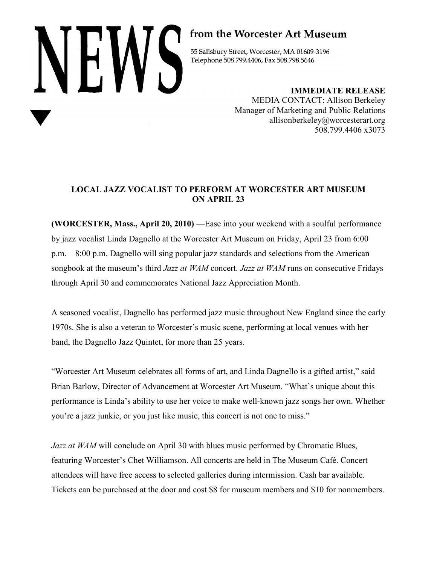# NHW5

# from the Worcester Art Museum

55 Salisbury Street, Worcester, MA 01609-3196 Telephone 508.799.4406, Fax 508.798.5646

> **IMMEDIATE RELEASE** MEDIA CONTACT: Allison Berkeley Manager of Marketing and Public Relations allisonberkeley@worcesterart.org 508.799.4406 x3073

## **LOCAL JAZZ VOCALIST TO PERFORM AT WORCESTER ART MUSEUM ON APRIL 23**

**(WORCESTER, Mass., April 20, 2010)** —Ease into your weekend with a soulful performance by jazz vocalist Linda Dagnello at the Worcester Art Museum on Friday, April 23 from 6:00 p.m. – 8:00 p.m. Dagnello will sing popular jazz standards and selections from the American songbook at the museum's third *Jazz at WAM* concert. *Jazz at WAM* runs on consecutive Fridays through April 30 and commemorates National Jazz Appreciation Month.

A seasoned vocalist, Dagnello has performed jazz music throughout New England since the early 1970s. She is also a veteran to Worcester's music scene, performing at local venues with her band, the Dagnello Jazz Quintet, for more than 25 years.

"Worcester Art Museum celebrates all forms of art, and Linda Dagnello is a gifted artist," said Brian Barlow, Director of Advancement at Worcester Art Museum. "What's unique about this performance is Linda's ability to use her voice to make well-known jazz songs her own. Whether you're a jazz junkie, or you just like music, this concert is not one to miss."

*Jazz at WAM* will conclude on April 30 with blues music performed by Chromatic Blues, featuring Worcester's Chet Williamson. All concerts are held in The Museum Café. Concert attendees will have free access to selected galleries during intermission. Cash bar available. Tickets can be purchased at the door and cost \$8 for museum members and \$10 for nonmembers.